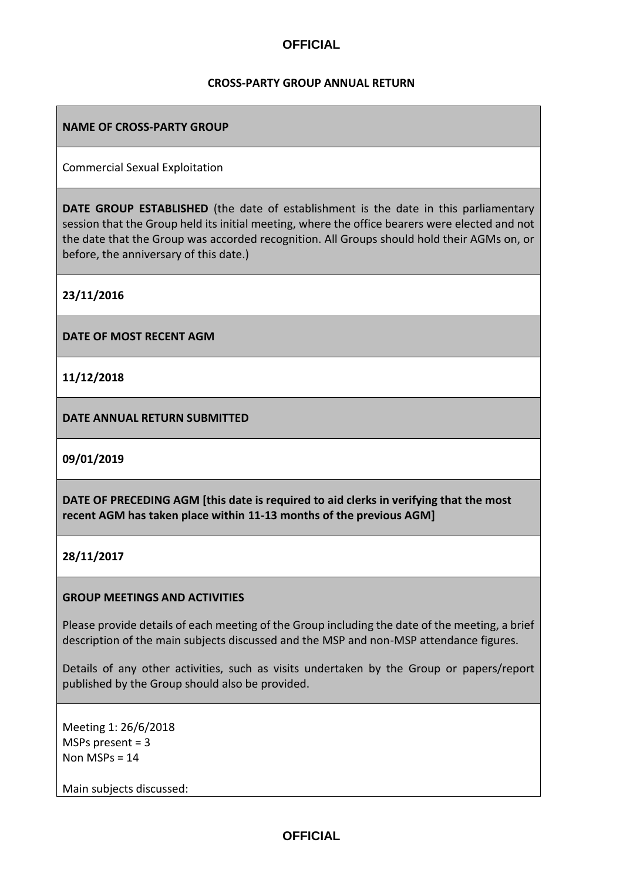#### **CROSS-PARTY GROUP ANNUAL RETURN**

### **NAME OF CROSS-PARTY GROUP**

Commercial Sexual Exploitation

**DATE GROUP ESTABLISHED** (the date of establishment is the date in this parliamentary session that the Group held its initial meeting, where the office bearers were elected and not the date that the Group was accorded recognition. All Groups should hold their AGMs on, or before, the anniversary of this date.)

**23/11/2016**

**DATE OF MOST RECENT AGM**

**11/12/2018**

**DATE ANNUAL RETURN SUBMITTED**

**09/01/2019**

**DATE OF PRECEDING AGM [this date is required to aid clerks in verifying that the most recent AGM has taken place within 11-13 months of the previous AGM]**

**28/11/2017**

#### **GROUP MEETINGS AND ACTIVITIES**

Please provide details of each meeting of the Group including the date of the meeting, a brief description of the main subjects discussed and the MSP and non-MSP attendance figures.

Details of any other activities, such as visits undertaken by the Group or papers/report published by the Group should also be provided.

Meeting 1: 26/6/2018 MSPs present = 3 Non MSPs = 14

Main subjects discussed: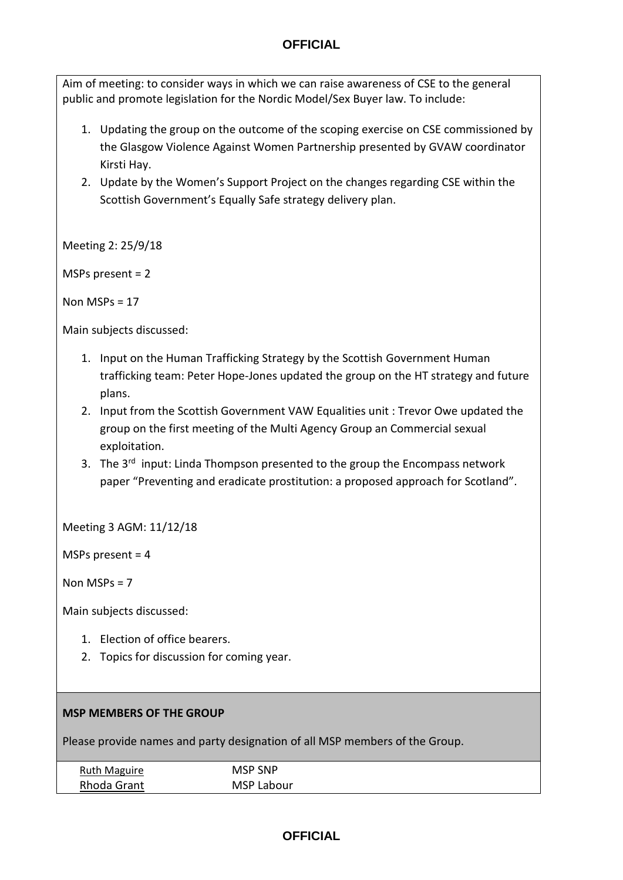Aim of meeting: to consider ways in which we can raise awareness of CSE to the general public and promote legislation for the Nordic Model/Sex Buyer law. To include:

- 1. Updating the group on the outcome of the scoping exercise on CSE commissioned by the Glasgow Violence Against Women Partnership presented by GVAW coordinator Kirsti Hay.
- 2. Update by the Women's Support Project on the changes regarding CSE within the Scottish Government's Equally Safe strategy delivery plan.

Meeting 2: 25/9/18

MSPs present = 2

Non MSPs = 17

Main subjects discussed:

- 1. Input on the Human Trafficking Strategy by the Scottish Government Human trafficking team: Peter Hope-Jones updated the group on the HT strategy and future plans.
- 2. Input from the Scottish Government VAW Equalities unit : Trevor Owe updated the group on the first meeting of the Multi Agency Group an Commercial sexual exploitation.
- 3. The 3<sup>rd</sup> input: Linda Thompson presented to the group the Encompass network paper "Preventing and eradicate prostitution: a proposed approach for Scotland".

Meeting 3 AGM: 11/12/18

MSPs present = 4

Non MSPs = 7

Main subjects discussed:

- 1. Election of office bearers.
- 2. Topics for discussion for coming year.

#### **MSP MEMBERS OF THE GROUP**

Please provide names and party designation of all MSP members of the Group.

| <b>Ruth Maguire</b> | <b>MSP SNP</b> |  |
|---------------------|----------------|--|
|                     |                |  |
| Rhoda Grant         | MSP Labour     |  |
|                     |                |  |

## **OFFICIAL**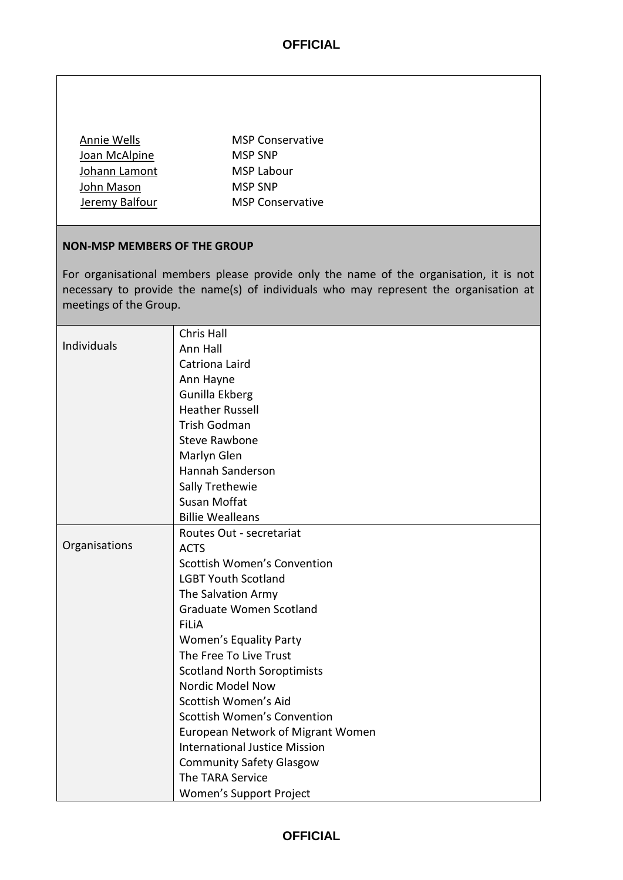| Annie Wells    | <b>MSP Conservative</b> |
|----------------|-------------------------|
| Joan McAlpine  | <b>MSP SNP</b>          |
| Johann Lamont  | MSP Labour              |
| John Mason     | <b>MSP SNP</b>          |
| Jeremy Balfour | <b>MSP Conservative</b> |

### **NON-MSP MEMBERS OF THE GROUP**

For organisational members please provide only the name of the organisation, it is not necessary to provide the name(s) of individuals who may represent the organisation at meetings of the Group.

|               | Chris Hall                           |
|---------------|--------------------------------------|
| Individuals   | Ann Hall                             |
|               | Catriona Laird                       |
|               | Ann Hayne                            |
|               | Gunilla Ekberg                       |
|               | <b>Heather Russell</b>               |
|               | Trish Godman                         |
|               | <b>Steve Rawbone</b>                 |
|               | Marlyn Glen                          |
|               | Hannah Sanderson                     |
|               | Sally Trethewie                      |
|               | Susan Moffat                         |
|               | <b>Billie Wealleans</b>              |
|               | Routes Out - secretariat             |
| Organisations | <b>ACTS</b>                          |
|               | Scottish Women's Convention          |
|               | <b>LGBT Youth Scotland</b>           |
|               | The Salvation Army                   |
|               | Graduate Women Scotland              |
|               | <b>FiLiA</b>                         |
|               | <b>Women's Equality Party</b>        |
|               | The Free To Live Trust               |
|               | <b>Scotland North Soroptimists</b>   |
|               | Nordic Model Now                     |
|               | Scottish Women's Aid                 |
|               | <b>Scottish Women's Convention</b>   |
|               | European Network of Migrant Women    |
|               | <b>International Justice Mission</b> |
|               | <b>Community Safety Glasgow</b>      |
|               | The TARA Service                     |
|               | Women's Support Project              |

# **OFFICIAL**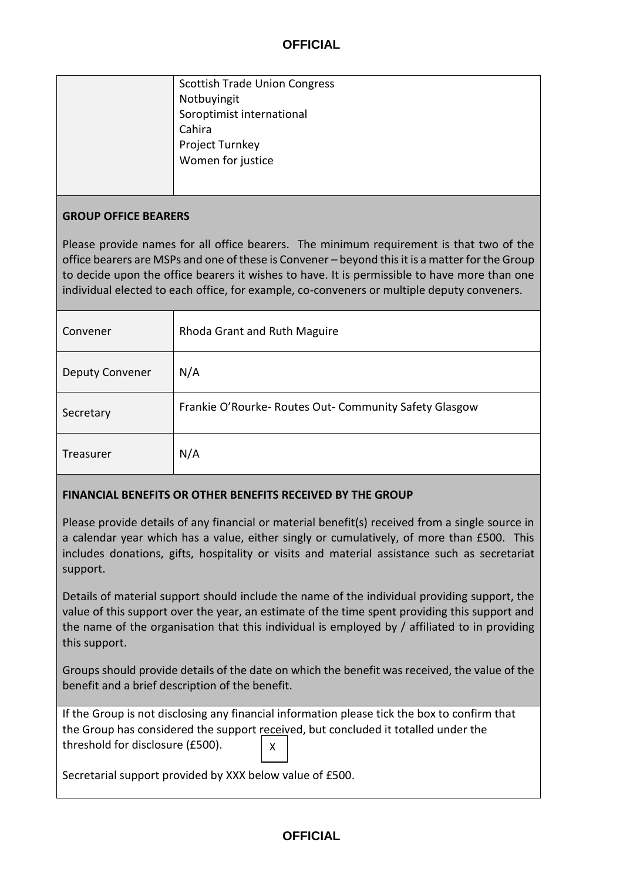| <b>Scottish Trade Union Congress</b> |
|--------------------------------------|
| Notbuyingit                          |
| Soroptimist international            |
| Cahira                               |
| Project Turnkey                      |
| Women for justice                    |
|                                      |
|                                      |

#### **GROUP OFFICE BEARERS**

Please provide names for all office bearers. The minimum requirement is that two of the office bearers are MSPs and one of these is Convener – beyond this it is a matter for the Group to decide upon the office bearers it wishes to have. It is permissible to have more than one individual elected to each office, for example, co-conveners or multiple deputy conveners.

| Convener               | Rhoda Grant and Ruth Maguire                         |
|------------------------|------------------------------------------------------|
| <b>Deputy Convener</b> | N/A                                                  |
| Secretary              | Frankie O'Rourke-Routes Out-Community Safety Glasgow |
| Treasurer              | N/A                                                  |

### **FINANCIAL BENEFITS OR OTHER BENEFITS RECEIVED BY THE GROUP**

Please provide details of any financial or material benefit(s) received from a single source in a calendar year which has a value, either singly or cumulatively, of more than £500. This includes donations, gifts, hospitality or visits and material assistance such as secretariat support.

Details of material support should include the name of the individual providing support, the value of this support over the year, an estimate of the time spent providing this support and the name of the organisation that this individual is employed by / affiliated to in providing this support.

Groups should provide details of the date on which the benefit was received, the value of the benefit and a brief description of the benefit.

| If the Group is not disclosing any financial information please tick the box to confirm that |   |  |
|----------------------------------------------------------------------------------------------|---|--|
| the Group has considered the support received, but concluded it totalled under the           |   |  |
| threshold for disclosure (£500).                                                             | X |  |
|                                                                                              |   |  |

Secretarial support provided by XXX below value of £500.

## **OFFICIAL**